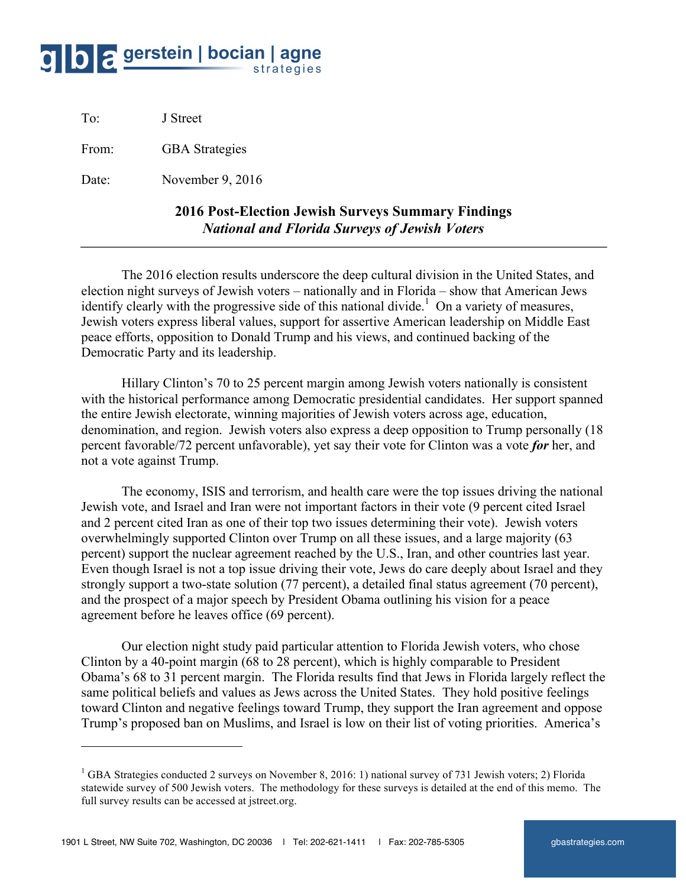## O C gerstein | bocian | agne strategies

To: J Street

 $\overline{a}$ 

From: **GBA** Strategies

Date: November 9, 2016

## **2016 Post-Election Jewish Surveys Summary Findings** *National and Florida Surveys of Jewish Voters*

The 2016 election results underscore the deep cultural division in the United States, and election night surveys of Jewish voters – nationally and in Florida – show that American Jews identify clearly with the progressive side of this national divide.<sup>1</sup> On a variety of measures, Jewish voters express liberal values, support for assertive American leadership on Middle East peace efforts, opposition to Donald Trump and his views, and continued backing of the Democratic Party and its leadership.

Hillary Clinton's 70 to 25 percent margin among Jewish voters nationally is consistent with the historical performance among Democratic presidential candidates. Her support spanned the entire Jewish electorate, winning majorities of Jewish voters across age, education, denomination, and region. Jewish voters also express a deep opposition to Trump personally (18 percent favorable/72 percent unfavorable), yet say their vote for Clinton was a vote *for* her, and not a vote against Trump.

The economy, ISIS and terrorism, and health care were the top issues driving the national Jewish vote, and Israel and Iran were not important factors in their vote (9 percent cited Israel and 2 percent cited Iran as one of their top two issues determining their vote). Jewish voters overwhelmingly supported Clinton over Trump on all these issues, and a large majority (63 percent) support the nuclear agreement reached by the U.S., Iran, and other countries last year. Even though Israel is not a top issue driving their vote, Jews do care deeply about Israel and they strongly support a two-state solution (77 percent), a detailed final status agreement (70 percent), and the prospect of a major speech by President Obama outlining his vision for a peace agreement before he leaves office (69 percent).

Our election night study paid particular attention to Florida Jewish voters, who chose Clinton by a 40-point margin (68 to 28 percent), which is highly comparable to President Obama's 68 to 31 percent margin. The Florida results find that Jews in Florida largely reflect the same political beliefs and values as Jews across the United States. They hold positive feelings toward Clinton and negative feelings toward Trump, they support the Iran agreement and oppose Trump's proposed ban on Muslims, and Israel is low on their list of voting priorities. America's

<sup>&</sup>lt;sup>1</sup> GBA Strategies conducted 2 surveys on November 8, 2016: 1) national survey of 731 Jewish voters; 2) Florida statewide survey of 500 Jewish voters. The methodology for these surveys is detailed at the end of this memo. The full survey results can be accessed at jstreet.org.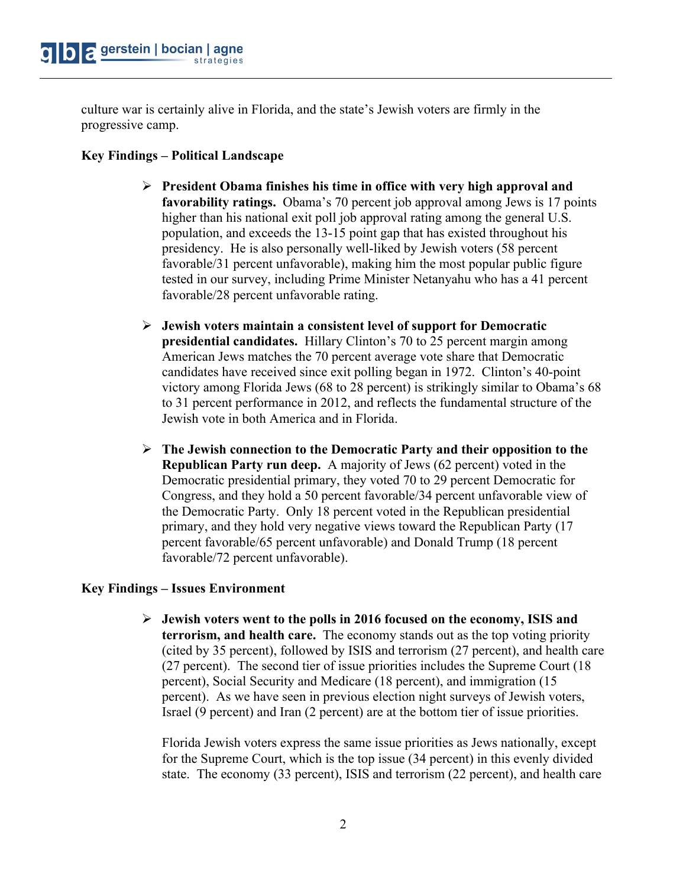culture war is certainly alive in Florida, and the state's Jewish voters are firmly in the progressive camp.

## **Key Findings – Political Landscape**

- Ø **President Obama finishes his time in office with very high approval and favorability ratings.** Obama's 70 percent job approval among Jews is 17 points higher than his national exit poll job approval rating among the general U.S. population, and exceeds the 13-15 point gap that has existed throughout his presidency. He is also personally well-liked by Jewish voters (58 percent favorable/31 percent unfavorable), making him the most popular public figure tested in our survey, including Prime Minister Netanyahu who has a 41 percent favorable/28 percent unfavorable rating.
- Ø **Jewish voters maintain a consistent level of support for Democratic presidential candidates.** Hillary Clinton's 70 to 25 percent margin among American Jews matches the 70 percent average vote share that Democratic candidates have received since exit polling began in 1972. Clinton's 40-point victory among Florida Jews (68 to 28 percent) is strikingly similar to Obama's 68 to 31 percent performance in 2012, and reflects the fundamental structure of the Jewish vote in both America and in Florida.
- Ø **The Jewish connection to the Democratic Party and their opposition to the Republican Party run deep.** A majority of Jews (62 percent) voted in the Democratic presidential primary, they voted 70 to 29 percent Democratic for Congress, and they hold a 50 percent favorable/34 percent unfavorable view of the Democratic Party. Only 18 percent voted in the Republican presidential primary, and they hold very negative views toward the Republican Party (17 percent favorable/65 percent unfavorable) and Donald Trump (18 percent favorable/72 percent unfavorable).

## **Key Findings – Issues Environment**

Ø **Jewish voters went to the polls in 2016 focused on the economy, ISIS and terrorism, and health care.** The economy stands out as the top voting priority (cited by 35 percent), followed by ISIS and terrorism (27 percent), and health care (27 percent). The second tier of issue priorities includes the Supreme Court (18 percent), Social Security and Medicare (18 percent), and immigration (15 percent). As we have seen in previous election night surveys of Jewish voters, Israel (9 percent) and Iran (2 percent) are at the bottom tier of issue priorities.

Florida Jewish voters express the same issue priorities as Jews nationally, except for the Supreme Court, which is the top issue (34 percent) in this evenly divided state. The economy (33 percent), ISIS and terrorism (22 percent), and health care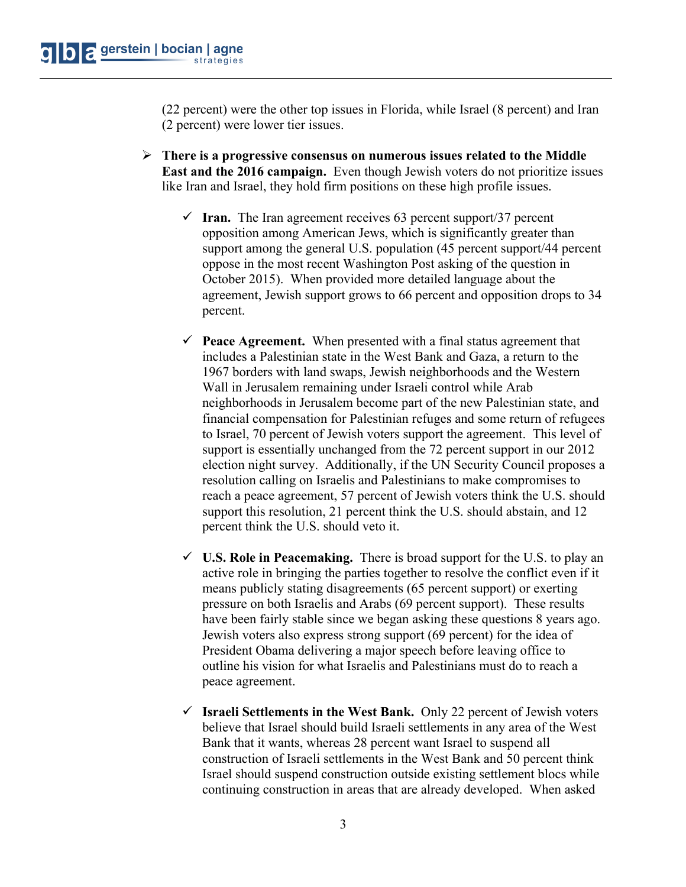(22 percent) were the other top issues in Florida, while Israel (8 percent) and Iran (2 percent) were lower tier issues.

- Ø **There is a progressive consensus on numerous issues related to the Middle East and the 2016 campaign.** Even though Jewish voters do not prioritize issues like Iran and Israel, they hold firm positions on these high profile issues.
	- $\checkmark$  Iran. The Iran agreement receives 63 percent support/37 percent opposition among American Jews, which is significantly greater than support among the general U.S. population (45 percent support/44 percent oppose in the most recent Washington Post asking of the question in October 2015). When provided more detailed language about the agreement, Jewish support grows to 66 percent and opposition drops to 34 percent.
	- $\checkmark$  **Peace Agreement.** When presented with a final status agreement that includes a Palestinian state in the West Bank and Gaza, a return to the 1967 borders with land swaps, Jewish neighborhoods and the Western Wall in Jerusalem remaining under Israeli control while Arab neighborhoods in Jerusalem become part of the new Palestinian state, and financial compensation for Palestinian refuges and some return of refugees to Israel, 70 percent of Jewish voters support the agreement. This level of support is essentially unchanged from the 72 percent support in our 2012 election night survey. Additionally, if the UN Security Council proposes a resolution calling on Israelis and Palestinians to make compromises to reach a peace agreement, 57 percent of Jewish voters think the U.S. should support this resolution, 21 percent think the U.S. should abstain, and 12 percent think the U.S. should veto it.
	- $\checkmark$  **U.S. Role in Peacemaking.** There is broad support for the U.S. to play an active role in bringing the parties together to resolve the conflict even if it means publicly stating disagreements (65 percent support) or exerting pressure on both Israelis and Arabs (69 percent support). These results have been fairly stable since we began asking these questions 8 years ago. Jewish voters also express strong support (69 percent) for the idea of President Obama delivering a major speech before leaving office to outline his vision for what Israelis and Palestinians must do to reach a peace agreement.
	- ü **Israeli Settlements in the West Bank.** Only 22 percent of Jewish voters believe that Israel should build Israeli settlements in any area of the West Bank that it wants, whereas 28 percent want Israel to suspend all construction of Israeli settlements in the West Bank and 50 percent think Israel should suspend construction outside existing settlement blocs while continuing construction in areas that are already developed. When asked